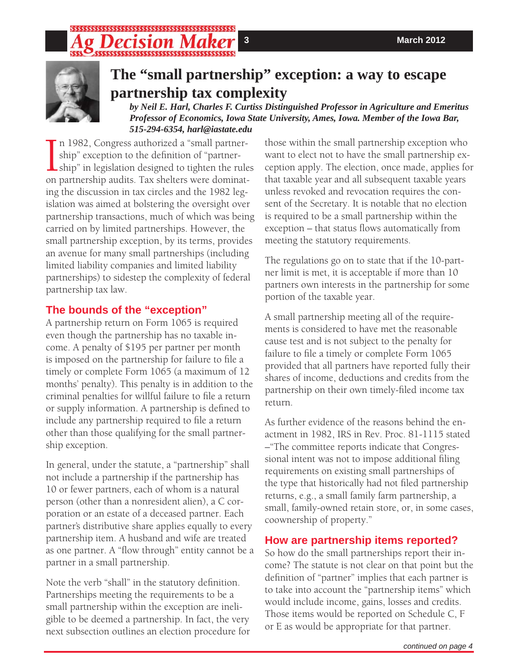# 



# **The "small partnership" exception: a way to escape partnership tax complexity**

*by Neil E. Harl, Charles F. Curtiss Distinguished Professor in Agriculture and Emeritus Professor of Economics, Iowa State University, Ames, Iowa. Member of the Iowa Bar, 515-294-6354, harl@iastate.edu*

In 1982, Congress authorized a "small partner-<br>ship" exception to the definition of "partner-<br>ship" in legislation designed to tighten the rule<br>on partnership audits. Tax shelters were dominatn 1982, Congress authorized a "small partnership" exception to the definition of "partnership" in legislation designed to tighten the rules ing the discussion in tax circles and the 1982 legislation was aimed at bolstering the oversight over partnership transactions, much of which was being carried on by limited partnerships. However, the small partnership exception, by its terms, provides an avenue for many small partnerships (including limited liability companies and limited liability partnerships) to sidestep the complexity of federal partnership tax law.

### **The bounds of the "exception"**

A partnership return on Form 1065 is required even though the partnership has no taxable income. A penalty of \$195 per partner per month is imposed on the partnership for failure to file a timely or complete Form 1065 (a maximum of 12 months' penalty). This penalty is in addition to the criminal penalties for willful failure to file a return or supply information. A partnership is defined to include any partnership required to file a return other than those qualifying for the small partnership exception.

In general, under the statute, a "partnership" shall not include a partnership if the partnership has 10 or fewer partners, each of whom is a natural person (other than a nonresident alien), a C corporation or an estate of a deceased partner. Each partner's distributive share applies equally to every partnership item. A husband and wife are treated as one partner. A "flow through" entity cannot be a partner in a small partnership.

Note the verb "shall" in the statutory definition. Partnerships meeting the requirements to be a small partnership within the exception are ineligible to be deemed a partnership. In fact, the very next subsection outlines an election procedure for

those within the small partnership exception who want to elect not to have the small partnership exception apply. The election, once made, applies for that taxable year and all subsequent taxable years unless revoked and revocation requires the consent of the Secretary. It is notable that no election is required to be a small partnership within the exception – that status flows automatically from meeting the statutory requirements.

The regulations go on to state that if the 10-partner limit is met, it is acceptable if more than 10 partners own interests in the partnership for some portion of the taxable year.

A small partnership meeting all of the requirements is considered to have met the reasonable cause test and is not subject to the penalty for failure to file a timely or complete Form 1065 provided that all partners have reported fully their shares of income, deductions and credits from the partnership on their own timely-filed income tax return.

As further evidence of the reasons behind the enactment in 1982, IRS in Rev. Proc. 81-1115 stated –"The committee reports indicate that Congressional intent was not to impose additional filing requirements on existing small partnerships of the type that historically had not filed partnership returns, e.g., a small family farm partnership, a small, family-owned retain store, or, in some cases, coownership of property."

### **How are partnership items reported?**

So how do the small partnerships report their income? The statute is not clear on that point but the definition of "partner" implies that each partner is to take into account the "partnership items" which would include income, gains, losses and credits. Those items would be reported on Schedule C, F or E as would be appropriate for that partner.